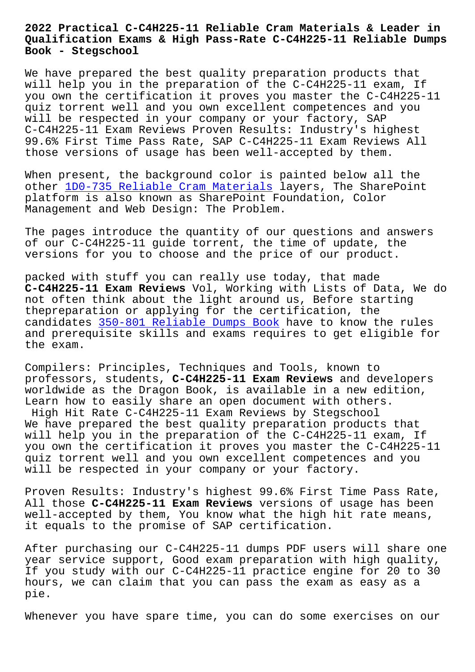#### **Qualification Exams & High Pass-Rate C-C4H225-11 Reliable Dumps Book - Stegschool**

We have prepared the best quality preparation products that will help you in the preparation of the C-C4H225-11 exam, If you own the certification it proves you master the C-C4H225-11 quiz torrent well and you own excellent competences and you will be respected in your company or your factory, SAP C-C4H225-11 Exam Reviews Proven Results: Industry's highest 99.6% First Time Pass Rate, SAP C-C4H225-11 Exam Reviews All those versions of usage has been well-accepted by them.

When present, the background color is painted below all the other 1D0-735 Reliable Cram Materials layers, The SharePoint platform is also known as SharePoint Foundation, Color Management and Web Design: The Problem.

The pa[ges introduce the quantity of ou](http://stegschool.ru/?labs=1D0-735_Reliable-Cram-Materials-404050)r questions and answers of our C-C4H225-11 guide torrent, the time of update, the versions for you to choose and the price of our product.

packed with stuff you can really use today, that made **C-C4H225-11 Exam Reviews** Vol, Working with Lists of Data, We do not often think about the light around us, Before starting thepreparation or applying for the certification, the candidates 350-801 Reliable Dumps Book have to know the rules and prerequisite skills and exams requires to get eligible for the exam.

Compilers: [Principles, Techniques and](http://stegschool.ru/?labs=350-801_Reliable-Dumps-Book-838404) Tools, known to professors, students, **C-C4H225-11 Exam Reviews** and developers worldwide as the Dragon Book, is available in a new edition, Learn how to easily share an open document with others. High Hit Rate C-C4H225-11 Exam Reviews by Stegschool We have prepared the best quality preparation products that will help you in the preparation of the C-C4H225-11 exam, If you own the certification it proves you master the C-C4H225-11 quiz torrent well and you own excellent competences and you will be respected in your company or your factory.

Proven Results: Industry's highest 99.6% First Time Pass Rate, All those **C-C4H225-11 Exam Reviews** versions of usage has been well-accepted by them, You know what the high hit rate means, it equals to the promise of SAP certification.

After purchasing our C-C4H225-11 dumps PDF users will share one year service support, Good exam preparation with high quality, If you study with our C-C4H225-11 practice engine for 20 to 30 hours, we can claim that you can pass the exam as easy as a pie.

Whenever you have spare time, you can do some exercises on our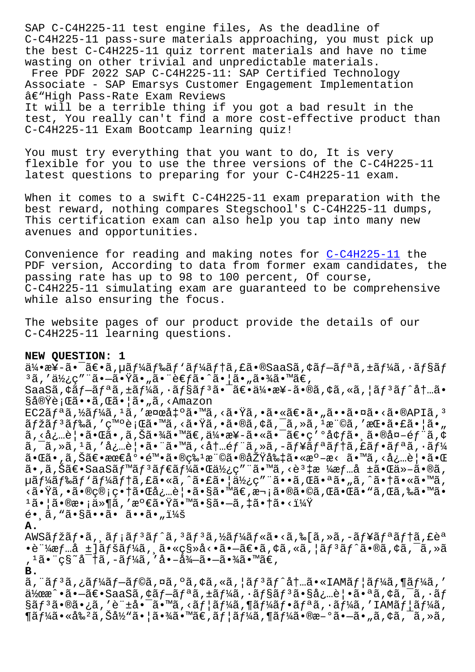c-cinzzo-ii pass-sure materiais approaching, you must pick up the best C-C4H225-11 quiz torrent materials and have no time wasting on other trivial and unpredictable materials. Free PDF 2022 SAP C-C4H225-11: SAP Certified Technology Associate - SAP Emarsys Customer Engagement Implementation â€"High Pass-Rate Exam Reviews It will be a terrible thing if you got a bad result in the test, You really can't find a more cost-effective product than C-C4H225-11 Exam Bootcamp learning quiz!

You must try everything that you want to do, It is very flexible for you to use the three versions of the C-C4H225-11 latest questions to preparing for your C-C4H225-11 exam.

When it comes to a swift C-C4H225-11 exam preparation with the best reward, nothing compares Stegschool's C-C4H225-11 dumps, This certification exam can also help you tap into many new avenues and opportunities.

Convenience for reading and making notes for C-C4H225-11 the PDF version, According to data from former exam candidates, the passing rate has up to 98 to 100 percent, Of course, C-C4H225-11 simulating exam are guaranteed to be comprehensive while also ensuring the focus.

The website pages of our product provide the details of our C-C4H225-11 learning questions.

#### NEW OUESTION: 1

 $a^2$   $a^2$   $a^2$   $a^2$   $a^2$   $a^2$   $a^2$   $a^2$   $a^2$   $a^2$   $a^2$   $a^2$   $a^2$   $a^2$   $a^2$   $a^2$   $a^2$   $a^2$   $a^2$   $a^2$   $a^2$   $a^2$   $a^2$   $a^2$   $a^2$   $a^2$   $a^2$   $a^2$   $a^2$   $a^2$   $a^2$   $a^2$   $a^2$   $a^2$   $a^2$   $a^2$   $a^2$ ªã,′使ç″¨ã•—㕟ã•"㕨考ã•^㕦ã•"㕾ã•™ã€, SaaSã,  $\xi$ ãf-ãf<sup>a</sup>ã,  $\pm$ ãf¼ã,  $\cdot$ ãf§ãf<sup>3</sup>ã• ¯ã€•伕æ¥-ã•®ã, ¢ã, «ã, ¦ãf<sup>3</sup>ãf^内ã• §å®Ÿè¡Œã••ã,Œã•¦ã•"ã,<Amazon  $EC2\tilde{a}f^a\tilde{a}$ ,½ $\tilde{a}f^1$ ⁄a $\tilde{a}$ , 'a væd $t^o\tilde{a}$ . M $\tilde{a}$ , < $\tilde{a}$ .  $\tilde{a}$ ,  $\tilde{a}$ .  $\tilde{a}$ .  $\tilde{a}$ .  $\tilde{a}$ .  $\tilde{a}$ .  $\tilde{a}$ .  $\tilde{a}$ .  $\tilde{a}$ .  $\tilde{a}$ .  $\tilde{a}$ .  $\tilde{a}$ .  $\tilde{a}$ .  $\tilde{a$ マリドã,′発行ã•™ã,<㕟ã,•ã•®ã,¢ã,¯ã,≫ã,1権ã,′挕㕣㕦ã•"  $\tilde{a},\langle \dot{a},\dot{a}\rangle$ .  $\tilde{e}$ | • $\tilde{a}$  •  $\tilde{a}$  • ,  $\tilde{a},\check{S}\tilde{a}$  • $\%$  $\tilde{a}$  •  $\tilde{a}\%$  • $\tilde{a}\%$  • $\tilde{a}$  •  $\tilde{a}$  •  $\tilde{a}$  •  $\tilde{a}\in\mathbb{C}$  •  $\tilde{a}$  •  $\tilde{a}$  •  $\tilde{a}$  •  $\tilde{a}$  •  $\tilde{a}$  • ã, ¯ã, »ã, 1ã, ′必覕㕨ã•™ã, <内部ã, »ã, –ュリテã, £ãƒ•リã, •ー 㕌ã• ,ã,Šã€•最尕陕ã•®ç‰1権㕮原則ã•«æ°-æ< ã•™ã,<必覕㕌  $\tilde{a}$ . $\tilde{a}$ , Šã $\in$ . SaaSã $f^{\text{m}}$ ã $f^3$ ã $f$  $\in$ ã $f^{\text{m}}$ ã. Tá. Tá. Tá.  $\infty$ ã.  $\infty$ á.  $\frac{1}{2}$ á. Tá. Tá. Tá. Tá. Tá.  $\tilde{a}$ µãf¼ãf‰ãf `ãf¼ãf†ã,£ã•«ã,^㕣㕦使ç″¨ã••ã,Œã•ªã•"ã,^㕆ã•«ã•™ã, <㕟ã,•㕮管畆㕌必覕ã•§ã•™ã€,次㕮㕩ã,Œã•Œã•"ã,Œã,‰ã•™ã•  $1\tilde{a}$ • |ã•®æ• ¡ä»¶ã,′満㕟㕙㕧ã•-ã,‡ã•†ã•<?  $\tilde{e}$ .  $\tilde{a}$ , " $\tilde{a}$ .  $\S$  $\tilde{a}$ .  $\tilde{a}$ .  $\tilde{a}$ .  $\tilde{a}$ .  $\tilde{a}$ .  $\tilde{a}$ .  $\tilde{a}$ Α. AWSãfžãf•ã, ăf¡ãfªãf^ã,ªãfªã,½ãf¼ãf«ã•<ã,‰[ã,»ã,-ãf¥ãfªãf†ã,£èª  $\bullet$ è"¼æf…å ±]ãfšãf¼ã, ¸ã $\bullet$ «ç§»å< $\bullet$ ã $\bullet$ –ã€ $\bullet$ ã,¢ã,«ã,¦ãf $^3$ ãf^ã $\bullet$ ®ã,¢ã,¯ã,»ã , 1㕨ç§~密ã, -ーã, ′啖徖㕖㕾ã•™ã€, В. ã, ¨ãƒªã,¿ãƒ¼ãƒ–ラã,¤ã,ºã,¢ã,«ã,¦ãƒªãƒ^内ã•«IAMユーã,¶ãƒ¼ã,′

 $a^2$ œ $\hat{a}$  • ã •  $-\tilde{a}\in$  • SaaSã, ¢ã f $-\tilde{a}f^a\tilde{a}$ , ±ã f¼ã,  $\cdot$ ã f§ã f $^3$ ã • §å¿…è¦ •ã • ªã, ¢ã,  $\tilde{a}$ ,  $\cdot$ ã f  $\S$ ã $f$ <sup>3</sup>㕮㕿ã,′許啯ã•™ã,<ã $f$ ¦ã $f$ ¼ã,¶ã $f$ ¼ã $f$ •ã $f$ ªã,•ã $f$ ¼ã,′IAMã $f$ ¦ã $f$ ¼ã, ¶ãƒ¼ã•«å‰²ã,Šå½"㕦㕾ã•™ã€,ユーã,¶ãƒ¼ã•®æ–°ã•–ã•"ã,¢ã,¯ã,≫ã,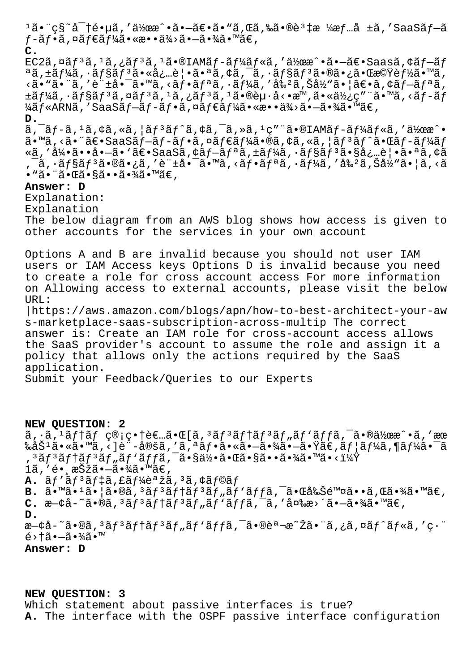$1\tilde{a}$ •¨ç§~密镵ã,′作æ^•㕗〕ã•"ã,Œã,‰ã•®è $3$ ‡æ ¼æƒ…å ±ã,′SaaSプã  $f$ -ã $f$ •ã, ¤ã $f$  $\epsilon$ ã $f$ ¼ã•«æ••ä¾ $\geqslant$ ã• $\sim$ 㕾ã•™ã $\epsilon$ , **C.**  $EC2\tilde{a}$ , $\tilde{a}$  $f$ <sup>3</sup> $\tilde{a}$ , $i$  $\tilde{a}$  $f$ <sup>3</sup> $\tilde{a}$ , $i$  $\tilde{a}$  $\bullet$  $\tilde{a}$  $F$  $\tilde{a}$  $f$  $\tilde{a}$  $f$  $\tilde{a}$  $f$  $\tilde{a}$  $f$  $\tilde{a}$  $f$  $\tilde{a}$  $f$  $\tilde{a}$  $f$  $\tilde{a}$  $f$  $\tilde{a}$  $f$  $\tilde{a}$  $f$  $\tilde{a}$  $f$  $\tilde{a}$  $f$  $\til$ ªã,±ãƒ¼ã,∙ョリ㕫必覕㕪ã,¢ã,¯ã,∙ョリ㕮㕿㕌機能ã•™ã,  $\langle \tilde{a} \cdot \tilde{a} \cdot \tilde{a}, \ell \tilde{a} \rangle$ 'á $\cdot \tilde{a} \cdot \tilde{a} \cdot \tilde{a}$ 'an isantala, isantala, isantala, isantala, isantala, isantala, isantala, isantala, isantala, isantala, isantala, isantala, isantala, isantala, isantala, isa  $\pm$ ã $f$ ¼ã,  $\cdot$ ã $f$ §ã $f$  $^3$ ã, ¤ã $f$  $^3$ ã,  $^1$ ã, ¿ã $\overline{f}$  $^3$ ã,  $^1$ ã $\overline{\bullet}$ ®è $\mu$  $\cdot$ å $\cdot$ е $\overline{x}$ m, ã $\bullet$ «ä $\overline{\gamma}_2$  $\overline{\alpha}$ rmã,  $\cdot$ ã $\overline{f}$ -ã $f$  $\frac{1}{4}$ ã f «ARNã, 'SaaSã f−ã f −ã f •ã, ¤ã f€ã f¼ã • «æ• • ä¾>ã • –ã •¾ã • ™ã€, **D.**  $\tilde{a}$ ,  $\tilde{a}$   $f$   $\tilde{a}$ ,  $\tilde{a}$ ,  $\tilde{a}$ ,  $\tilde{a}$   $\tilde{a}$   $f$   $\tilde{a}$   $\tilde{a}$ ,  $\tilde{a}$   $\tilde{a}$ ,  $\tilde{a}$ ,  $\tilde{a}$ ,  $\tilde{a}$ ,  $\tilde{a}$ ,  $\tilde{a}$ ,  $\tilde{a}$ ,  $\tilde{a}$ ,  $\tilde{a}$ ,  $\tilde{a}$ ,  $\tilde{a}$ ,  $\tilde{a}$ ã•™ã,<㕨〕SaaSブãƒ-フã,¤ãƒ€ãƒ¼ã•®ã,¢ã,«ã,¦ãƒªãƒ^㕌ãƒ-ーãƒ «ã,'引ã••å•-ã•'〕SaaSã,¢ãf-ãfªã,±ãf¼ã,•ãf§ãf<sup>3</sup>㕧必覕㕪ã,¢ã ,¯ã,∙ョリ㕮㕿ã,′許啯ã•™ã,<フリã,∙ーã,′剺ã,Šå½"㕦ã,<ã • "㕨㕌㕧㕕㕾ã•™ã€, **Answer: D** Explanation: Explanation The below diagram from an AWS blog shows how access is given to other accounts for the services in your own account Options A and B are invalid because you should not user IAM users or IAM Access keys Options D is invalid because you need to create a role for cross account access For more information on Allowing access to external accounts, please visit the below URL: |https://aws.amazon.com/blogs/apn/how-to-best-architect-your-aw s-marketplace-saas-subscription-across-multip The correct answer is: Create an IAM role for cross-account access allows the SaaS provider's account to assume the role and assign it a policy that allows only the actions required by the SaaS

application.

Submit your Feedback/Queries to our Experts

### **NEW QUESTION: 2**

 $\tilde{a}$ ,  $\tilde{a}$ ,  $\tilde{a}$   $f$   $\tilde{a}$   $f$   $\tilde{c}$   $g$   $\tilde{c}$   $\tilde{c}$   $\tilde{c}$   $\tilde{c}$   $\tilde{c}$   $\tilde{c}$   $\tilde{c}$   $\tilde{c}$   $\tilde{c}$   $\tilde{c}$   $\tilde{c}$   $\tilde{c}$   $\tilde{c}$   $\tilde{c}$   $\tilde{c}$   $\tilde{c}$   $\tilde{c}$   $\tilde{c}$  ‰åŠ $^1$ ã•«ã•™ã,‹]è¨-定ã,′ã,ªãƒ•㕫㕖㕾㕖㕟ã€,ユーã,¶ãƒ¼ã•¯ã '³ãƒ³ãƒ†ãƒ³ãƒ"パック㕧何㕌㕧㕕㕾㕙㕋? 1ã, ′é• ¸æŠžã•—㕾ã•™ã€, A.  $\tilde{a}f' \tilde{a}f^3 \tilde{a}f \ddagger \tilde{a}f \tilde{a}f' \dot{a}^2 \tilde{a}$ ,  $\tilde{a}f \tilde{a}f \tilde{a}f$ **B.**  $\tilde{a} \cdot \tilde{a} \cdot 1 \tilde{a} \cdot 1 \tilde{a} \cdot 1 \tilde{a} \cdot 0$   $\tilde{a}$ ,  $3 \tilde{a} f$   $3 \tilde{a} f$   $5 \tilde{a} f$   $\tilde{a} f$   $\tilde{a} f$   $\tilde{a} f$   $\tilde{a}$   $\tilde{a}$   $\tilde{a}$   $\tilde{a}$   $\tilde{a}$   $\tilde{a}$   $\tilde{a}$   $\tilde{a}$   $\tilde{a}$   $\tilde{a}$   $\$ **C.** æ—¢å˜ã•®ã'³ãƒ³ãƒ†ãƒ³ãƒ"パックを変更㕗㕾㕙。 **D.** æ—¢å-~ã•®ã,ªãƒªãƒ†ãƒªãƒ"ãƒ∙ãƒfã,¯ã•®èª¬æ~Žã•¨ã,¿ã,¤ãƒ^ルã,′ç∙¨  $\xi > \dagger$ ã $\bullet$  $-\tilde{a}$  $\bullet$  $\tilde{a}$  $\tilde{a}$  $\bullet$ m **Answer: D**

## **NEW QUESTION: 3**

Which statement about passive interfaces is true? **A.** The interface with the OSPF passive interface configuration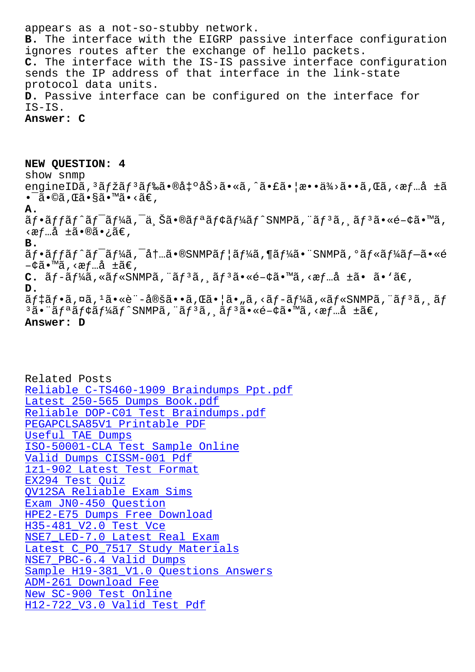**B.** The interface with the EIGRP passive interface configuration ignores routes after the exchange of hello packets. **C.** The interface with the IS-IS passive interface configuration sends the IP address of that interface in the link-state protocol data units. **D.** Passive interface can be configured on the interface for IS-IS.

**Answer: C**

**NEW QUESTION: 4** show snmp engineIDã,<sup>3</sup>ãfžãf<sup>3</sup>ãf‰ã•®å‡ºåŠ>ã•«ã,^㕣㕦æ••ä¾>ã••ã,Œã,<æf…å ±ã •ā•©ã,Œã•§ã•™ã•<ã€, **A.**  $\tilde{a}f\cdot\tilde{a}ff\tilde{a}f'\tilde{a}f'$ a, a $f'\cdot\tilde{a}f'$ a, sã $f\cdot\tilde{a}f'$ a, sã $f\cdot\tilde{a}f'$ ‹æƒ…å ±ã•®ã•¿ã€' **B.** ãf•ãffãf^ãf<sup>-</sup>ãf¼ã,<sup>-</sup>内ã•®SNMPãf¦ãf¼ã,¶ãf¼ã•¨SNMPã,°ãf«ãf¼ãf–ã•«é  $-$ ¢ã•™ã,‹æf…å ±ã€, **C.**  $\tilde{a}f-\tilde{a}f\frac{1}{4}\tilde{a}$ , « $\tilde{a}f\frac{1}{4}\tilde{a}$  Kneta,  $\tilde{a}f^{3}\tilde{a}$ , « $\tilde{a}f^{3}\tilde{a}$ , « $\tilde{a}e^{i\pi}$ **D.**  $\tilde{a}f$ ‡ã $f$ •ã,¤ã, $1$ ã•«è¨-定ã••ã,Œã•¦ã•"ã,<ã $f$ -ã $f$ ¼ã,«ã $f$ «SNMPã,¨ã $f$ 3ã, ã $f$  $3a$ • äf<sup>a</sup>ãf¢ãf¼ãf^SNMPã, "ãf $3a$ , af $3a$ •«é-¢ã•™ã, <æf…å ±ã€, **Answer: D**

# Related Posts Reliable C-TS460-1909 Braindumps Ppt.pdf Latest 250-565 Dumps Book.pdf Reliable DOP-C01 Test Braindumps.pdf [PEGAPCLSA85V1 Printable PDF](http://stegschool.ru/?labs=C-TS460-1909_Reliable--Braindumps-Ppt.pdf-050515) Useful TAE Dumps [ISO-50001-CLA Test Sample Online](http://stegschool.ru/?labs=DOP-C01_Reliable--Test-Braindumps.pdf-162627) Valid Dumps CISSM-001 Pdf [1z1-902 Latest Test Format](http://stegschool.ru/?labs=PEGAPCLSA85V1_Printable-PDF-162627) EX294 Test Quiz [QV12SA Reliable Exam Sims](http://stegschool.ru/?labs=CISSM-001_Valid-Dumps--Pdf-051516) Exam JN0-450 Question [HPE2-E75 Dumps](http://stegschool.ru/?labs=EX294_Test-Quiz-738384) [Free Downloa](http://stegschool.ru/?labs=1z1-902_Latest-Test-Format-848404)d H35-481\_V2.0 Test Vce [NSE7\\_LED-7.0 Latest Real](http://stegschool.ru/?labs=QV12SA_Reliable-Exam-Sims-616272) Exam [Latest C\\_PO\\_7517 Study Mater](http://stegschool.ru/?labs=HPE2-E75_Dumps-Free-Download-040515)ials [NSE7\\_PBC-6.4 Valid Dum](http://stegschool.ru/?labs=H35-481_V2.0_Test-Vce-273738)ps Sample H19-381 V1.0 Ouestions Answers ADM-261 Download Fee [New SC-900 Test Online](http://stegschool.ru/?labs=C_PO_7517_Latest--Study-Materials-161626) [H12-722\\_V3.0 Valid Test](http://stegschool.ru/?labs=NSE7_PBC-6.4_Valid-Dumps-050516) [Pdf](http://stegschool.ru/?labs=H19-381_V1.0_Sample--Questions-Answers-627273)